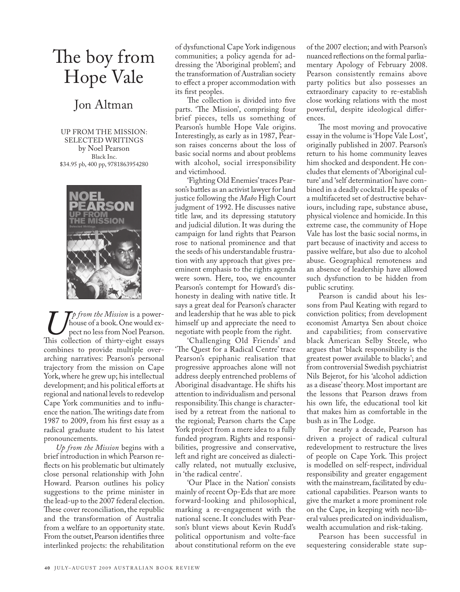## The boy from Hope Vale

## Jon Altman

UP FROM THE MISSION: SELECTED WRITINGS by Noel Pearson Black Inc. \$34.95 pb, 400 pp, 9781863954280



*Up from the Mission* is a power-<br>pect no less from Noel Pearson.<br>This collection of thirty-eight essays house of a book. One would expect no less from Noel Pearson. combines to provide multiple overarching narratives: Pearson's personal trajectory from the mission on Cape York, where he grew up; his intellectual development; and his political efforts at regional and national levels to redevelop Cape York communities and to influence the nation. The writings date from 1987 to 2009, from his first essay as a radical graduate student to his latest pronouncements.

*Up from the Mission* begins with a brief introduction in which Pearson reflects on his problematic but ultimately close personal relationship with John Howard. Pearson outlines his policy suggestions to the prime minister in the lead-up to the 2007 federal election. These cover reconciliation, the republic and the transformation of Australia from a welfare to an opportunity state. From the outset, Pearson identifies three interlinked projects: the rehabilitation

of dysfunctional Cape York indigenous communities; a policy agenda for addressing the 'Aboriginal problem'; and the transformation of Australian society to effect a proper accommodation with its first peoples.

The collection is divided into five parts. 'The Mission', comprising four brief pieces, tells us something of Pearson's humble Hope Vale origins. Interestingly, as early as in 1987, Pearson raises concerns about the loss of basic social norms and about problems with alcohol, social irresponsibility and victimhood.

'Fighting Old Enemies' traces Pearson's battles as an activist lawyer for land justice following the *Mabo* High Court judgment of 1992. He discusses native title law, and its depressing statutory and judicial dilution. It was during the campaign for land rights that Pearson rose to national prominence and that the seeds of his understandable frustration with any approach that gives preeminent emphasis to the rights agenda were sown. Here, too, we encounter Pearson's contempt for Howard's dishonesty in dealing with native title. It says a great deal for Pearson's character and leadership that he was able to pick himself up and appreciate the need to negotiate with people from the right.

'Challenging Old Friends' and 'The Quest for a Radical Centre' trace Pearson's epiphanic realisation that progressive approaches alone will not address deeply entrenched problems of Aboriginal disadvantage. He shifts his attention to individualism and personal responsibility. This change is characterised by a retreat from the national to the regional; Pearson charts the Cape York project from a mere idea to a fully funded program. Rights and responsibilities, progressive and conservative, left and right are conceived as dialectically related, not mutually exclusive, in 'the radical centre'.

'Our Place in the Nation' consists mainly of recent Op-Eds that are more forward-looking and philosophical, marking a re-engagement with the national scene. It concludes with Pearson's blunt views about Kevin Rudd's political opportunism and volte-face about constitutional reform on the eve

of the 2007 election; and with Pearson's nuanced reflections on the formal parliamentary Apology of February 2008. Pearson consistently remains above party politics but also possesses an extraordinary capacity to re-establish close working relations with the most powerful, despite ideological differences.

The most moving and provocative essay in the volume is 'Hope Vale Lost', originally published in 2007. Pearson's return to his home community leaves him shocked and despondent. He concludes that elements of 'Aboriginal culture' and 'self determination' have combined in a deadly cocktail. He speaks of a multifaceted set of destructive behaviours, including rape, substance abuse, physical violence and homicide. In this extreme case, the community of Hope Vale has lost the basic social norms, in part because of inactivity and access to passive welfare, but also due to alcohol abuse. Geographical remoteness and an absence of leadership have allowed such dysfunction to be hidden from public scrutiny.

Pearson is candid about his lessons from Paul Keating with regard to conviction politics; from development economist Amartya Sen about choice and capabilities; from conservative black American Selby Steele, who argues that 'black responsibility is the greatest power available to blacks'; and from controversial Swedish psychiatrist Nils Bejerot, for his 'alcohol addiction as a disease' theory. Most important are the lessons that Pearson draws from his own life, the educational tool kit that makes him as comfortable in the bush as in The Lodge.

For nearly a decade, Pearson has driven a project of radical cultural redevelopment to restructure the lives of people on Cape York. This project is modelled on self-respect, individual responsibility and greater engagement with the mainstream, facilitated by educational capabilities. Pearson wants to give the market a more prominent role on the Cape, in keeping with neo-liberal values predicated on individualism, wealth accumulation and risk-taking.

Pearson has been successful in sequestering considerable state sup-